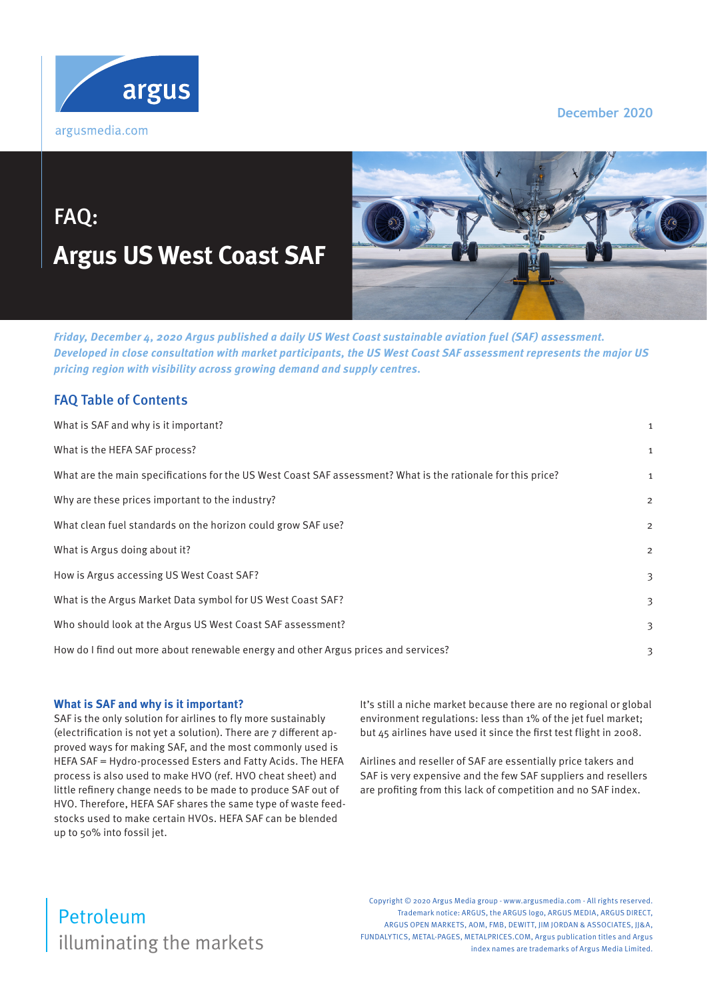

#### **December 2020**

# FAQ: **Argus US West Coast SAF**



**Friday, December 4, 2020 Argus published a daily US West Coast sustainable aviation fuel (SAF) assessment. Developed in close consultation with market participants, the US West Coast SAF assessment represents the major US pricing region with visibility across growing demand and supply centres.** 

### FAQ Table of Contents

| What is SAF and why is it important?                                                                         | 1              |
|--------------------------------------------------------------------------------------------------------------|----------------|
| What is the HEFA SAF process?                                                                                | 1              |
| What are the main specifications for the US West Coast SAF assessment? What is the rationale for this price? | 1              |
| Why are these prices important to the industry?                                                              | $\overline{a}$ |
| What clean fuel standards on the horizon could grow SAF use?                                                 | $\overline{2}$ |
| What is Argus doing about it?                                                                                | $\overline{2}$ |
| How is Argus accessing US West Coast SAF?                                                                    | 3              |
| What is the Argus Market Data symbol for US West Coast SAF?                                                  | 3              |
| Who should look at the Argus US West Coast SAF assessment?                                                   | 3              |
| How do I find out more about renewable energy and other Argus prices and services?                           | З              |
|                                                                                                              |                |

#### **What is SAF and why is it important?**

SAF is the only solution for airlines to fly more sustainably (electrification is not yet a solution). There are 7 different approved ways for making SAF, and the most commonly used is HEFA SAF = Hydro-processed Esters and Fatty Acids. The HEFA process is also used to make HVO (ref. HVO cheat sheet) and little refinery change needs to be made to produce SAF out of HVO. Therefore, HEFA SAF shares the same type of waste feedstocks used to make certain HVOs. HEFA SAF can be blended up to 50% into fossil jet.

It's still a niche market because there are no regional or global environment regulations: less than 1% of the jet fuel market; but 45 airlines have used it since the first test flight in 2008.

Airlines and reseller of SAF are essentially price takers and SAF is very expensive and the few SAF suppliers and resellers are profiting from this lack of competition and no SAF index.

# illuminating the markets Petroleum

Copyright © 2020 Argus Media group - www.argusmedia.com - All rights reserved. Trademark notice: ARGUS, the ARGUS logo, ARGUS MEDIA, ARGUS DIRECT, ARGUS OPEN MARKETS, AOM, FMB, DEWITT, IIM JORDAN & ASSOCIATES, II&A, FUNDALYTICS, METAL-PAGES, METALPRICES.COM, Argus publication titles and Argus index names are trademarks of Argus Media Limited.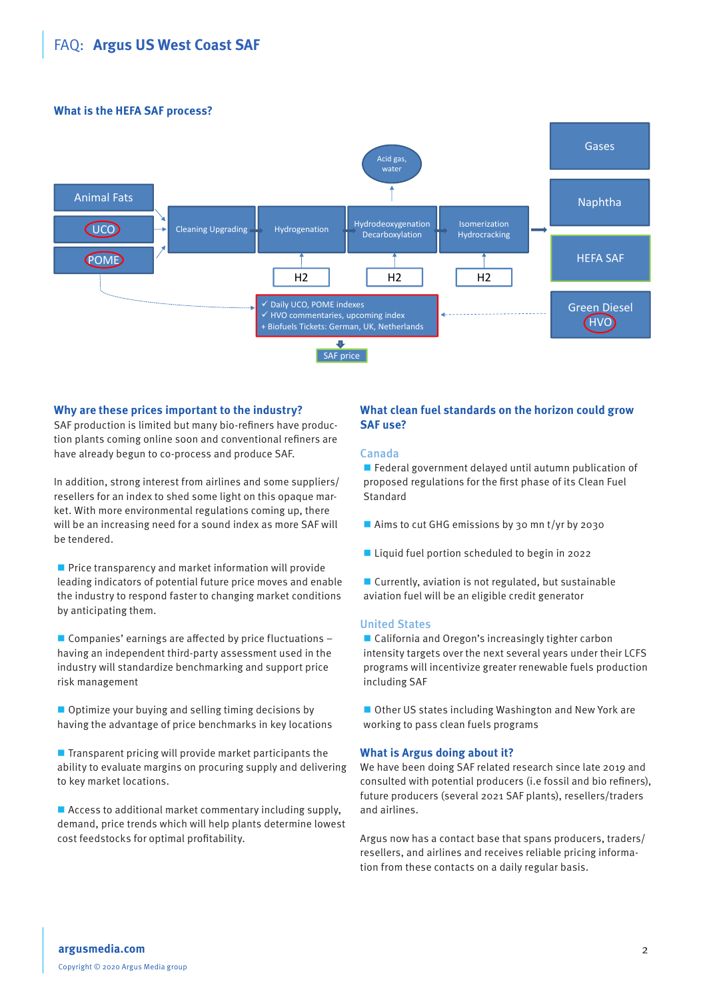## <span id="page-1-0"></span>FAQ: **Argus US West Coast SAF**

#### **What is the HEFA SAF process?**



#### **Why are these prices important to the industry?**

SAF production is limited but many bio-refiners have production plants coming online soon and conventional refiners are have already begun to co-process and produce SAF.

In addition, strong interest from airlines and some suppliers/ resellers for an index to shed some light on this opaque market. With more environmental regulations coming up, there will be an increasing need for a sound index as more SAF will be tendered.

 $\blacksquare$  Price transparency and market information will provide leading indicators of potential future price moves and enable the industry to respond faster to changing market conditions by anticipating them.

 $\blacksquare$  Companies' earnings are affected by price fluctuations  $\lightharpoonup$ having an independent third-party assessment used in the industry will standardize benchmarking and support price risk management

 $\Box$  Optimize your buying and selling timing decisions by having the advantage of price benchmarks in key locations

 $\blacksquare$  Transparent pricing will provide market participants the ability to evaluate margins on procuring supply and delivering to key market locations.

■ Access to additional market commentary including supply, demand, price trends which will help plants determine lowest cost feedstocks for optimal profitability.

#### **What clean fuel standards on the horizon could grow SAF use?**

#### Canada

Federal government delayed until autumn publication of proposed regulations for the first phase of its Clean Fuel **Standard** 

- Aims to cut GHG emissions by 30 mn t/yr by 2030
- Liquid fuel portion scheduled to begin in 2022
- $\blacksquare$  Currently, aviation is not regulated, but sustainable aviation fuel will be an eligible credit generator

#### United States

■ California and Oregon's increasingly tighter carbon intensity targets over the next several years under their LCFS programs will incentivize greater renewable fuels production including SAF

■ Other US states including Washington and New York are working to pass clean fuels programs

#### **What is Argus doing about it?**

We have been doing SAF related research since late 2019 and consulted with potential producers (i.e fossil and bio refiners), future producers (several 2021 SAF plants), resellers/traders and airlines.

Argus now has a contact base that spans producers, traders/ resellers, and airlines and receives reliable pricing information from these contacts on a daily regular basis.